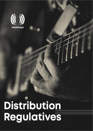

Distribution regulatives

# Distribution Regulatives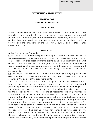# **DISTRIBUTION REGULATIVES**

# **SECTION ONE GENERAL CONDITIONS**

#### **INTRODUCTION**

Article 1. Present Regulatives specify principles, rules and methods for distributing of collected remuneration for the use of sound recordings and incorporated performances there with, by PROPHON as a collecting society in private interest of the phonogram producers and performing artists in compliance with its Statute and the provisions of the Law for Copyright and Related Rights (hereinafter LCRR).

#### DEFINITIONS:

Article 2. As per these Regulatives:

2.1. RECORDING – sound recording or recording of a musical audiovisual work. For recordings are also considered the short musical forms like headpieces, "hats", jingles, caches of broadcast programs, promo signals and other signals, as well as recordings from concerts, recordings from performances of musical stage works, recordings of broadcast programs, etc., and the recordings incorporated in films or other audio-visual works, including commercials and autocommercials.

2.2. PRODUCER – as per Art. 85 LCRR is the individual or the legal person that organizes the carrying out of the first recording and provides for its financial security, or the bearer of the producer's rights.

2.3. CATALOCUE – full nominal list of the complete number own (owned) and/or licensed recordings of any producer, together with a list of represented performing artists for the performances incorporated within the recordings.

2.4. INCOME WITH REPORTS – remuneration collected by the radio/TV operators for the broadcasting by wireless means of recordings and of performances incorporated within the recordings, transmission by cable or other technical means, for the offering by wireless means, by cable or other technical means of access to unlimited number of people to the recording and to the performance incorporated within the recording, or to part(s) thereof in a manner, allowing for such access to be carried out from a place and at a time, individually selected by any of them, for the use of recordings and performances incorporated within the recordings as background music for concert performances or live presentations and/or recreating(copying) them in non-interactive programs, designed to be publically performed, for which reports are received and the right holders are automatically identified by comparison of the registered data-bases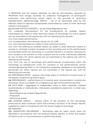in PROPHON and the airplay reported, as well as remuneration received by PROPHON from foreign societies for collective management of phonogram producers' and performing artists' rights on the grounds of reciprocal representation agreements.2.5. AIRPLAY – list of all recordings used by the relevant radio/TV operator broadcasted, transmitted by cable or other technical means in its program.

2.6. INCOME WITHOUT REPORTS – as per these Regulations are:

2.6.1. collected remuneration for the broadcasting by wireless means, transmission by cable or other technical means of recordings, for which reports are not submitted or the reports are unfit for identifying the records.

2.6.2. from public performance;

2.6.3. compensation remuneration as per Art. 26 LCRR;

2.6.4. from retransmission by cable or other technical means;

2.6.5. from the offering by wireless means, by cable or other technical means of access to unlimited number of people to the recording and to the performance incorporated within the recording, or to part(s) thereof in a manner, allowing for such access to be carried out from a place and at a time, individually selected by any of them, for which reports are not submitted or the reports are unfit for identifying the records.

2.6.6. from the use of recordings and performances incorporated within the recordings as background music for concerts or live performances and/or recreating(copying) them in non-interactive programs, designed to be publically performed, for which reports are not submitted or the reports are unfit for identifying the records

2.7. PERFORMING ARTIST – person, who sings, plays or conducts a musical work, or the bearer of performing artist's rights.

2.8. PERFORMANCE – performance of a musical work, incorporated in a particular recording, which is a subject of a neighbouring right of the performing artist.

2.9. DATA BASE – aggregate of independent data or other materials, ordered systematically or methodically, individually available by electronic or other way, regarding:

- Recordings as per present Regulatives;

- Producers;

- Performing artists.

2.10. AVERAGE AIRPLAY – relative share of the duration of the recordings, produced by each producer within the summary duration of all airplay reports, supplied by users in compliance with the actual usage of recordings.

#### 2.11. Repealed.

2.12. UNIDENTIFIED RECORDINGS – recordings used by users, which were not identified in accordance with the received airplay reports, or which are subject of claim by two or more producers or performing artists.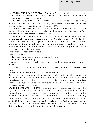2.13. TRANSMISSION BY OTHER TECHNICAL MEANS – transmission of recordings, other than transmission by cable, including transmission by electronic communications network as per LCRR.

2.14. RETRANSMISSION BY OTHER TECHNICAL MEANS – transmission of recordings, other than transmission by cable, including transmission by wireless means and by electronic communications network as per LCRR.

2.15. CURRENT DISTRIBUTION – distribution of remunerations from users for the current calendar year, subject to distribution, the completion of which is the first imminent distribution for the respective year.

2.16. USERS' REPORTS SUITABLE FOR DISTRIBUTION – reports by the respective user for the use of recordings regarding the rights transferred by PROPHON for the use of the organization's repertoire, including reports by media services providers for broadcasted recordings in their programs, including broadcast programs, produced by the respective medium or by outside producers, which contain the comprehensive information about:

1. producers/licensee of the record

2. performing artist

3. title of the sound recording, the version or the remix

4. title of the video recording

5. type of the broadcasted video recording: music video, recording of a concert, recital

6. number of broadcasts of the sound and/or video recording for the reported period

7. duration of the used sound and/or video recording

Users' reports which are considered suitable for distribution should also contain the respective detailed information on the points 1-7 above about the used recordings such as short musical forms, background music (including background music in broadcast programs), music in commercials and autocommercials, music in films, etc.

2.17. NON-DISTRIBUTABLE INCOME - remunerations for records used by users, the rightholders of which could not be identified in accordance with the reports received from the users, or their location could not be established within the terms and conditions under Art. 44b of the Statute. For the avoidance of doubt, the income from public performance, from compensation remunerations under Art. 26 LCRR and from retransmission by cable or other technical means under item 2.6, for which no reports have been submitted by the users, shall be distributed according by the conditions of Art. 9.2. and so on;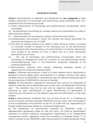# SOURCES OF INCOME

Article 3. Remuneration is collected and distributed for two categories of right holders: producers of recordings and performing artists (members and nonmembers) from the following sources:

3.1. Public performance of recordings and performances incorporated within recordings;

3.2. Broadcasting of recordings by wireless means and transmission by cable or other technical means;

- 3.3. Retransmission of recordings by cable or other technical means;
- 3.4.Compensation remuneration, where the records are being rerecorded for personal use, based on art. 26 LCRR;
- 3.5.The offer by wireless means or by cable or other technical means, to access of unlimited number of people to the recording and to the performance incorporated within the recording, or to parts thereof in a manner, allowing for such access to be carried out from a place and at a time, individually selected by any of them;
- 3.6. ; The use of recordings and performances incorporated within the recordings as background music for concerts or live performances and/or recreating(copying) them in non-interactive programs, designed to be publically performed,
- 3.7.Remuneration received from foreign collecting societies, based on agreements for reciprocal representation.

Article 4. Collected remuneration is kept in a bank deposit and is distributed in Bulgarian currency (BGN). When remuneration is in foreign currency they reach the BGN account of PROPHON, in accordance with the relevant exchange rate of the serving bank of PROPHON for the day of transfer.

Article 5. All remuneration collected for the period from January to December of relevant calendar year is distributed once a year until until September 30the next year. This deadline may not be met only by objective reasons relating to reporting by users, identification of rights, identification of rightholders or matching the information on the objects used and the information on the right holders.

Article 6. Remuneration collected from the sources as per Art. 2 is defined as amount through contracts between PROPHON and the users, with the exception of the compensation remuneration as per Art. 26 LCRR and this, negotiated by a foreign collecting society based on a reciprocal agreement.

6.1. The distribution of remuneration received by PROPHON under a representation agreement under Art. 40b, 94c, para. 2 of LCRR for rightsholders, members of another collective management organization or an independent management entity, registered under the procedure of Chapter Eleven "c" of LCRR is carried out by PROPHON under the provisions of these Distribution Rules.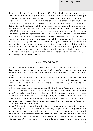Upon completion of the distribution, PROPHON submits to the counterparty collective management organization or company a detailed report containing a statement of the generated shares and amounts of distribution by sources for each of its members for which remuneration is due after the distribution of PROPHON and a reference for the advance paid remunerations for the year of distribution to the relevant rightholder, if any. After preparing the statements of the distribution by PROPHON, as well as the documents under Art. 9.6. below, PROPHON pays to the counterparty collective management organization or a company - party to agreement under Art. 94c, para. 2 of the LCRR, the total amount of the remuneration due to right-holders, members of that organization. The terms and conditions for the submission of the statement and the payment of remunerations by PROPHON are determined by the agreement between the two entities. The effective payment of the remunerations distributed by PROPHON due to right-holders, members of the organization - party to the agreement under Art. 94c, para. 2 of the LCRR with PROPHON, shall be carried out by the respective counterpart organization in accordance with its internal rules and the reports sent by PROPHON.

## ADMINISTRATIVE COSTS

Article 7. Before proceeding to distributing, PROPHON has the right to make deductions so as to cover its administrative costs, including the following deductions from all collected remuneration and from all sources of income, namely:

a) Up to 20% for administrative maintenance and activity from all collected remuneration, but not less than the adopted by the Board deduction amount as per the annual report on the income and expenses of the organisation for the relevant calendar year.

b) Other deductions as amount, approved by the General Assembly, from the the partitions of members and nonmembers of PROPHON (producers and performing artists), related to the relevant distribution, including so as to cover costs like fees of PROPHON in other societies, engaged only in activities directly related to collecting and distributing remuneration for specific uses of protected content, administratively imposed fees, sanctions imposed with a judgment entered into force and other similar expenses.

Article 8. Deductions related to administrative maintenance and activity as per Art,7 "a" together with the other deductions, as per Art.7 "b", represent the administrative costs for a relevant year, that shall be calculated as a total amount as of 31 December of the relevant calendar year and shall be deducted primarily from the collected during this same year income, as per Art.11b (bank interests, penalties, membership fee and additional economic activity income).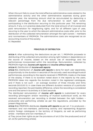When this sum fails to cover the total effective administrative costs related to the administrative activity and the other administrative expenses during given calendar year, the remaining amount shall be accumulated by deducting a relevant percentage from the due remuneration to each right owner, participating in the distribution recurring to this particular year. This remaining amount, if any, is in practice deducted from the total amount of all invoiced and paid remuneration for neighboring rights, and for all different type of uses, recurring to the year to which the relevant administrative costs refer, prior to the distribution of this collected remuneration amongst the right owners – members and nonmembers of PROPHON. The administrative costs are recognized as an accounting income of the society.

8.1. Repealed.

# PRINCIPLES OF DISTRIBUTION

Article 9. After subtracting the deductions as per art. 7, PROPHON proceeds to distributing of the collected remuneration among right holders in dependence on the source of income, based on the actual use of recordings and the performances incorporated within the recordings. Remuneration, collected by PROPHON might be: income with reports and income without reports.

# Article 9.1. Distribution of *income with reports*:

Article 9.1.1. Distribution of *income with reports* is done for each user separately, proportionally to the duration in seconds of the actually used recordings/musical performances, according to the reports received in PROPHON, made on the base of the airplay. If there is no duration noted down in the reports by the users, PROPHON takes into regards the duration noted in the registered catalogues, and if there is not such – an average duration of three minutes and thirty seconds (00:03:30 h). In case there are different duration versions of a particular recording reported, the permissible difference, where the recording is considered one and the same in its entirety is 10 (ten) seconds.

The distributed remuneration of *income with reports* is customized for every recording (phonogram and/or recording of musical audiovisual work), as the received remuneration per recording is divided between the right holders – producer(s) and performing artist(s) as per the regulations, provided by the present Regulatives.

Article 9.1.2. PROPHON distributes *income with reports* as per art. 9 to producers members and non-members, performing activity and representing Bulgarian and/or foreign catalogues in the territory of Bulgaria, as well as performing artists - members and non-members, if:

a) They prove their rights as per the provisions of art.13 (for the producers) and of art. 22 (for performing artists);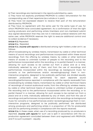b) Their recordings are mentioned in the reports submitted by users;

c) They have not explicitly prohibited PROPHON to collect remuneration for the corresponding use of their repertoire (as a whole or in part);

d) They have not expressed dissent to receive their part of the remuneration distributed by PROPHON;

e) They have no agreement with the same user for the same type of use, for which PROPHON have concluded agreement. As a confirmation of that the right owning producers and performing artists (members and non-members) submit duly signed declaration that they are not in individual juridical relations with the same user, while PROPHON reserves the right to execute additional control and to collect evidence if necessary.

Article 9.1.3. Repealed.

Article 9.1.4. Repealed.

Article 9.1.5. *income with reports* is distributed among right holders under art.9.1. as follows:

a)from broadcasting by wireless means, transmission by cable or other technical means of sound recordings and performances incorporated within these sound recordings, from the offering by wireless means, by cable or other technical means of access to unlimited number of people to the recording and to the performance incorporated within the recording, or to part(s) thereof in a manner, allowing for such access to be carried out from a place and at a time, individually selected by any of them, and from the use of recordings and performances incorporated within the recordings as background music for concerts or live performances and/or recreating(copying) them in noninteractive programs, designed to be publically performed, are divided equally between producer(s) and performer(s) for each separate sound recording/performance reported in compliance with the reports receivedb) from broadcasting by wireless means, transmission by cable or other technical means of recordings of musical audiovisual works, from the offering by wireless means, by cable or other technical means of access to unlimited number of people to the recording and to the performance incorporated within the recording, or to part(s) thereof in a manner, allowing for such access to be carried out from a place and at a time, individually selected by any of them, and from the use of recordings and performances incorporated within the recordings as background music for concerts or live performances and/or recreating(copying) them in noninteractive programs, designed to be publically performed, are distributed among producers and performing artists in a proportion of 75% for producer(s) and 25% for performing artist(s) in compliance with the reports received.

Article 9.1.6. In these cases, when use of a recording produced by co-producers is reported, *income with reports* for such use is split in accordance with the coproduction agreement concluded between them and registered with PROPHON, and if no such is present - equally.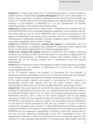Article 9.1.7. In these cases when use of a record is reported in which a collective performance is incorporated, *income with reports* for such use is distributed to a person, duly authorized in writing by respective artistic group, who authorizes use as per art. 79 LCRR, save that this artistic group is not represented by a producermember or non-member of PROPHON or it is not represented by another collecting society of the rights of performing artists.

Article 9.1.8. In these cases when a right holder - member or non-member has not informed PROPHON for a concluded separate agreement with the same user for the same type of use, for which PROPHON has a contract concluded or has signed a declaration containing untrue content, and as a consequence due remuneration is distributed wrongly, he (she) is obliged to return to PROPHON the sums paid, altogether with the lawful interest.

Article 9.1.9. PROPHON distributes *income with reports* in compliance with the present Regulatives to neighbouring societies of producers and/or performing artists on the basis of agreements for reciprocal representation.

Article 9.1.10. *Income with reports* received by PROPHON from foreign collecting societies of producers and/or performing artists on the basis of agreements for reciprocal representation, is distributed among right holders based on the reported use by the foreign society and in accordance with the present Regulatives.

Article 9.1.11. The following criteria are applied to media, whose reports are subject to processing for the purpose of distribution of income from users-media conducted by PROPHON:

а) For TV stations: reports are subject to processing for the purpose of distributing income with reports only for the TV stations, which owe remuneration under contract not less than BGN 3000 (three thousand) annually.

б) For radio stations: reports are subject to processing for the purpose of distributing income with reports only for the radio stations, which owe remuneration under contract not less than BGN 2000 (two thousand) annually.

Article 9.1.12. If the users' reports do not fulfill the criteria to be identified as reports suitable for distribution pursuant to art. 2.16., because they don't contain some or all of the information listed in art. 2.16. about all the used recordings (and also by PROPHON's decision with a view of the overall program time of the media services providers and the allowed number of commercial breaks, included in it), PROPHON is authorized to make a correction by not performing the distribution on the basis of reports received by the user as a whole or in part. In case a correction is necessary (as a whole or in part) PROPHON is authorized to add the missing information in the reports using information from the reports, provided to PROPHON by the respective organization providing outsourced researches on the use of music repertoire (monitoring) as per art.7, paragraph 14 from the organisation's Statute. In case the information from the monitoring reports is not sufficient for the complete identification of the particular right holders and the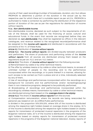volume of their used recordings (number of broadcasts, duration, etc.) but allows PROPHON to determine a portion of the duration in the actual use by the respective user for which there isn't a suitable report as per art.2.16., PROPHON is authorized to make a correction by performing the distribution of the respective portion of duration of the use as per the regulations for distribution of income without reports.

## 9.1.a. Non-distributable income.

Non-distributable income, declared as such subject to the requirements of Art. 44b of the Statues, shall be used for the financing of social, cultural and educational funds. In the event that records are recognized before they are declared as *non-distributable*, they shall be registered ex officio in the relevant catalogues, and revenue related to the recognized records/performance shall be assigned to the *income with reports* and distributed in accordance with the provisions of Art. 9.1. of these Rules.

## Article 9.2. Distribution of *income without reports*.

Article 9.2.1. The income without reports, are divided equally between producers and performers. The share of producers and performing artists of the *income* without reports from all sources are distributed among them based on the regulations as per art, 9.2.2. and art. 9.2.3. below.

Article 9.2.2. The share of *income without reports* from the following sources:

a) Retransmission by cable or by other technical means,

b) The offer by wireless means or by cable or other technical means, to access of unlimited number of people to the recording and to the performance incorporated within the recordings, or to parts thereof in a manner, allowing for such access to be carried out from a place and at a time, individually selected by any of them,

c) Use of recordings and performances incorporated within the recordings as a background for concerts and live performances and/or recreating(copying) them in non-interactive programs, designed to be publically performed,

d) Broadcasting of recordings and performances incorporated within the recordings by wireless means, transmission by cable or other technical means,

are distributed among them based on the *average share in the airplay*.

Article 9.2.3. The share of *income without reports* from the sources:

a) Compensation remuneration, where the records are being rerecorded for personal use, based on art. 26 LCRR,b) Public performance,

is divided in the proportion 50%:30%:20%, where 50% of the income is distributed among the respective right holders based on average share in the airplay, 30 % of the income is distributed among the respective right holders based on airplay reports for transmission of protected musical repertoire in the programs of the Bulgarian national radio, 20 % of the income is distributed among the respective right holders based on airplay reports for transmission of protected musical repertoire in the programs of the Bulgarian national television. Airplay reports of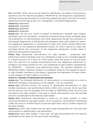BNR and BNT, which serve as the basis for distribution as stated in the previous sentence, are the reports provided to PROPHON by the respective organisation, offering outsourced services for conducting researches about the use of musical repertoire (monitoring) as per. art.7, paragraph 14 of present Regulatives.

Article 9.2.4. Repealed.

Article 9.2.5. Repealed.

Article 9.2.6. Repealed.

#### Article 9.2.7. Repealed.

Article 9.3.1. The net sum, which is subject to distribution towards right holders (members and non-members) – producers and performing artists, available after the subtraction of administrative and other deductions as per the provisions of the present Regulatives, is distributed only between those right holders for whom the respective registration is conducted no later than three months before the conclusion of the respective distribution and/or for whom reports by users are provided before the conclusion of the respective distribution, and/or there is data from the external monitoring.

Article 9.3.2. Distributed remuneration for right holders – producers and performing artists (members and non-members) is kept as an inviolable deposit in a bank account for a term of 5 (five) years. After the expiry of the five-year term the total sum of unpaid remuneration from the respective distribution is divided in two equal shares for the two categories of right holders, represented by PROPHON - producers and performing artists. The General Assembly of PROPHON makes a decision based on a proposal made by the respective quota of right holders, members of the Board, regarding the disposition of every share to the category of right holders it concerns.

#### Article 9.4. Payment of distributed remuneration

Article 9.4.1. The finalized distribution of remuneration is announced by e-mail to PROPHON members, and publicly on the website – for non-members.

Article 9.4.2. Minimal amount for paying of distributed remuneration to right holders (producers and performing artists) is BGN 10,00 annually. Sums less than the set amount are not payable and are kept at PROPHON's bank account and are paid to the right holders in the year in which remuneration over the pointed amount is distributed to the relevant right holder.

Article 9.4.3. Distributed remuneration is paid out via bank transfer, to bank accounts pointed by the right holders. As an exception, remuneration distributed under the amount of BGN 1000,00 would be paid cash only by written request by the right holders.

Article 9.4.4. Every right holder has the right to get acquainted with the way their remuneration is determined in the distribution.

Article 9.4.5. Every right holder, if they wish, can get acquainted with the reports, submitted by the users, for the use of their recordings.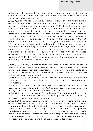Article 9.4.6. Prior to receiving the due remuneration, every right holder signs a writer declaration, stating that they are familiar with the present Distribution Regulatives and agree with them.

Article 9.4.7. Prior to receiving the due remuneration, every right holder signs a declaration that they agree with the calculated amount and are entitled to receive it in full, and they have no claims towards PROPHON and/or its employees with respect to the distributed amount. In the declaration of the previous sentence the copyright holder shall also declare his consent for the administrative deduction to be intercepted from the remunerations allocated to him, and if he is a member of PROPHON – the due annual fee for renewal of membership as well as provided in Article 16.1. In the declaration in the first sentence, the copyright holder shall be obliged to declare also any other information relevant to accounting and reporting of the allocated remuneration received from him, including whether he is a Bulgarian citizen, whether he is selfemployed, whether he is a person with disability, whether he is the successor of copyright holder and so on. The copyright holder may declare the circumstances above electronically as well under Art. 9.7. In the declaration, the rightholder also agrees that PROPHON treats his personal data for the purpose of collecting, distributing and paying the remuneration.

Article 9.4.8. By paying out remuneration to the respective right holder as per the provisions of the present Regulatives, PROPHON cannot be held liable in cases where third parties declare circumstances in conflict with the declaration submitted to PROPHON by the right holder who received remuneration, and lay claim to a share of the remuneration.

Article 9.4.9. Every right holder, who believes their remuneration is determined incorrectly, can make a complaint to the Board and it must be reviewed on their next meeting.

Article 9.4.10. If an error in the distribution and payment of remuneration is ascertained in accordance with Article 9.4.9. or otherwise, it is compensated when paying out the due remuneration for the next calendar year.

Article 9.5. Income from radios and TVs for the year 2004 and 2005 which are up to BGN 100,00 per month, is not distributed according to the actual use reported, but based on "average share in the airplay".

Article 9.6. When paying out remuneration to non-members, together with signing a declaration, right holders sign a print of the recordings and performances incorporated therewith, which are identified as repertoire belonging to such right holders, by which these right holders declare that pointed recordings/performances are truly theirs. In cases when PROPHON pays remuneration to another society for collective management of rights according to an agreement as per art. 94c, paragraph 2 of LCRR, the legal representative of the respective organisation signs the above mentioned declarations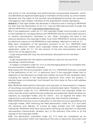and prints of the recordings and performances incorporated therewith, which are identified as repertoire belonging to members of the society, by which he/she declares that the rights of the pointed recordings/performances are owned or managed by right holders, members of the organisation he/she represents.

Article 9.7. If the right holder has declared in advance and in writing to PROPHON his wish that the declaration of Art. 9.4.7. may be filed electronically through the official PROPHON e-mail: [razpredelenie@prophon.org](mailto:razpredelenie@prophon.org)

9.7.1. In the application under Art. 9.7. the copyright holder must provide a current e-mail address for correspondence with PROPHON and his current bank account to receive remuneration allocated to him. When changing the data in the previous sentence, the copyright holder must notify PROPHON in writing, including by electronic means on the PROPHON e-mail address, referred to in the Art. 9.7.

9.7.2. Upon completion of the allocation pursuant to Art. 9.4.1., PROPHON shall notify by electronic means each copyright holder who has submitted a valid application under Art. 9.7., for the amount of the due remuneration and shall inform him of the opportunity:

- to get acquainted with way the remuneration allocated to him has been determined;

- to get acquainted with the reports submitted by users for the use of his recordings / performances;

- to lodge a complaint under Art. 9.4.9. to the Managing Board if he considers that his remuneration is definitely incorrect.

9.7.3. Along with the announcement under Art. 9.7.2., PROPHON shall sent a sample of the declaration of Art. 9.4.7. in electronic form. If the copyright holder has no objection to the allocation so made and notified, he must fill the necessary data, including his names in the declaration electronic form, mark the position "I declare these circumstances" and forward the form back to the e-mail address of PROPHON.

9.7.4. PROPHON shall perform allocation and payment of remuneration in respect of recordings and performances with duly authenticated rights. Therefore, in the announcement under Art. 9.7.2. PROPHON shall inform the copyright holder for which records and/or performances evidences are presented, demonstrating his capacity as copyright holder, and for which - not, as regards the latter, the opportunity to provide evidence of his rights over them shall be indicated.

9.7.5. PROPHON shall pay sums of allocation to the bank account specified by the copyright holder, after receiving the filled declaration under Art. 9.7.3, and after the issuance and delivery of invoice by legal entities and VAT registered individuals. PROPHON shall issue documents certifying the payment of allocated remuneration (memoranda, receipts, etc.) in the statutory time limits or at the request of the copyright holder.

9.7.6. The declaration submitted under Art. 9.7.3 shall be considered as an electronic document within the meaning of the Law on Electronic Document and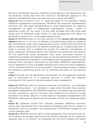Electronic Certification Services /LEDECS/ and the signing of the declaration with the declarant names shall have the value of a handwritten signature in the relations with PROPHON within the meaning of Art. 13 para. 4of LEDECS.

Article 9.8. The provisions of Art. 9.7. shall also apply to non-members, related collective management organizations, PROPHON has reciprocal representation contracts with, and legal representatives of other organizations for collective management of rights or independent management entities under an agreement under Art. 94c, para. 2 of the LCRR, provided that they have been stated prior to PROPHON under Article. 9.7. and subsequently their desire the declaration under Art. 9.4.7. to be lodged electronically.

Article 10. PROPHON pays out the due partition of the *income with and without* reports as per art. 9.1. and art. 9.2. directly to the performing artists or to persons duly authorized by them, when these persons prove in written that they have the right to represent performers for relevant recordings for a determinate term or under a contract with a neighbouring society for collective management of rights. Individuals mentioned above, who received the distributed remuneration for the performing artists (producers, third party authorized persons or neighboring societies) are obliged to pay out the due distributed partition to the performing artists they represent, in accordance with the agreements concluded between them, and sign a declaration to that effect. PROPHON's administration has an obligation to track, if possible, the execution of the contractual obligation of the authorized persons for the purposes in the preceding sentence towards the respective performing artists, incl. by informing the latter for the payment made.

Article 11. Paying out the distributed remuneration for the respective calendar year is accounted for in a suspense account, in which the collected remuneration from users for the same calendar year is assigned to.

Article 11a. PROPHON does not distribute revenues to producers - non-members and performing artists - non-members in cases when the latter have explicitly expressed disagreement with PROPHON collecting and distributing remuneration to them, received by users for the use if their repertoire as a whole or in part (individual recordings, albums) or have explicitly expressed disagreement with PROPHON collecting and distributing remuneration to them from explicitly stated uses.

Article 11b. Collected income from interests, penalties, additional economic activity and membership fee in the respective calendar year are not subject of distribution and are included in the revenue part of PROPHON's budget for the current calendar year.

Article 11b.1. PROPHON has the right to make deductions from income as per art. 11b included in the budget approved by the General Assembly for the respective calendar year in an amount not exceeding 180 000 (one hundred and eighty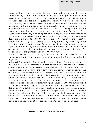thousand) levs, for the needs of the funds, founded by the organization to finance social, cultural and educational activities in support of right holders represented by PROPHON. The total sum, deducted for funds in the respective calendar year, is divided in two equal parts, one of which is to be spent on fund for supporting the activities of producers, while the other is to be spent on fund for supporting the activities of performing artists. Annually, with a decision to approve the annual budget of PROPHON the General Assembly determines the respective organizations – beneficiaries of the society's funds. Every organization-beneficiary is to be approved as a representative organization of right holders in the relevant category (producers or performing artists), which has deposited in advance to PROPHON no later than 15th of March for the respective calendar year a program, a strategy and a budget regarding the activity which is to be financed by the society's funds. Within the same deadline every organization-beneficiary of the society's funds provides to the General Assembly of PROPHON a report for the activities in the past calendar year, incl. a report for the spending of the grant received by PROPHON's funds.

Article 11c. PROPHON has the right to alter an incorrect payment or to compensate it with following payments within a period of 5(five) years after the payment.

Article 11d. Remuneration from users for the actual use of protected repertoire, received by PROPHON after the end date of the distribution for the respective calendar year it pertains to, is distributed together with the current distribution. The distribution of *income with reports* from this remuneration is carried out according to the received reports for the period of use it pertains to, when the total amount of the received remuneration as per the first sentence from a user under a respective contract exceeds 5000 (five thousand) BGN. If the amount from remuneration as per the first sentence by income with reports from a user under a respective contract is below 5000 (five thousand) BGN, the sum is added to the *income without reports* from remuneration, attributable to the current distribution. The distribution of unidentifiable income from remuneration as per the first sentence is carried out according to the principles of art. 9.2.2. (based on the "average share in the airplay" for the current distribution) and art. 9.2.3. (based on the reports of BNT and BNR, attributable to the current distribution). When distributing the due remuneration for a past period PROPHON applies administrative deduction at the rate applicable to the current distribution.

#### ADVANCE PAYMENT OF REMUNERATION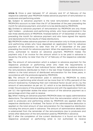Article 12. Once a year between 15<sup>th</sup> of January and 15<sup>th</sup> of February of the respective calendar year PROPHON makes advance payment of remuneration to producers and performing artists.

12.1. Subject to advance payment is the total remuneration received in the PROPHON's account no later than the 31<sup>st</sup> of December of the year preceding the month for advance payment, and which is to be distributed by PROPHON.

12.2. Entitled to advance payment of remuneration by PROPHON are only those right holders – producers and performing artists, who have participated in the last three distributions of PROPHON, finalized before 31<sup>st</sup> of December of the year preceding the month for advance payment and who have signed the reports and declarations for the results of these distributions.

12.3. PROPHON makes advance payment of remuneration only to those producers and performing artists who have deposited an application form for advance payment of remuneration no later than the 31<sup>st</sup> of December of the year preceding the month for advance payment. When the application is from a legal entity, authorized to receive an advance payment, PROPHON makes the payment only if an invoice for the amount which is to be paid in advance is issued by the entity no later than the 14<sup>th</sup> of February of the respective calendar year.

12.4. The amount of remuneration which is subject to advance payment for the respective producer or performing artist who meet the requirements is calculated on the basis of their individual factor, defined as a relative share of the remunerations distributed to them in the last three finalized distributions in relation to the total amount of distributed remuneration for the three years, in accordance with the protocols signed by PROPHON.

12.5. The amount of remuneration paid in advance by PROPHON to every producer or performing artist should not be more than 50 % (fifty percent) of the amount received by multiplying their own individual factor as per art.12.4. by the amount of remuneration as per art. 12.1. which is to be distributed by PROPHON. Under the provisions of the preceding sentence and with the application form as per 12.3. the rightholder states the exact amount of the advance payment as a percentage which they wish to receive.

12.6. When making an advance payment PROPHON does not apply administrative deductions, The administrative deductions from the remuneration which is to be paid to producers and performing artists by PROPHON are applied after the respective distribution is finalized. The factor of the administrative deduction is applied on the total amount of due remuneration for the respective distribution including the amount paid in advance. The amount of administrative deduction is substracted from the remainder of the remunerations due to producers and artists after deduction of the remuneration paid by PROPHON in advance.

12.7. If after the completion of the current distribution it is found out that the respective producer or performing artist is not authorized to receive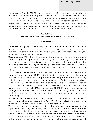remuneration from PROPHON, the producer or performing artist must reimburse the amount of remuneration paid in advance for the respective remuneration within a period of one month from the date of receiving the written notice thereof from PROPHON. The regulations of the preceding sentence are respectively applied in cases when the amount of the advance paid remuneration to a producer or performing artist exceeds the amount of remuneration due to them after the completion of the distribution.

# SECTION TWO MEMBERSHIP, REPERTOIRE REGISTRATION AND DATA BASES

## **MEMBERSHIP**

Article 12a. By signing a membership contract each member declares that they are acquainted and accept the Statute of PROPHON and the present Regulatives, from which the arise the following obligations in relation to the rights entrusted for collective management:

12a.1. to entrust PROPHON with the collective management of their transferable material rights as per LCRR authorizing the secondary use, the cable retransmission of recordings and performances incorporated in the recordingsfrom their catalogue, including these produced later, as well as the right to collect and distribute compensation remuneration as per art. 26 from LCRR;

12a.2. to entrust PROPHON with the collective management of their transferable material rights as per LCRR authorizing the secondary use, the cable retransmission of recordings and performances incorporated in the recordings, including these produced later, from the catalogues of other producers, whose rights are acquired by them based in agreements for exclusive representation of third parties, and the right to collect and distribute compensation remuneration as per art. 26 from LCRR;12a.3. to entrust PROPHON with the collective management of the transferable material rights of performing artists, if they are explicitly authorized to represent them for the recordings comprised in their catalogue;

12.4. to submit accurate, true and exhaustive information about the volume of represented rights, which they entrust to PROPHON for collective management, as well as about the content of the catalogues represented;

12.5. not to sign individual agreements authorizing the secondary use of the represented recordings with users, who under existing contracts with PROPHON have non-exclusive rights for the same use;12.6. not to undertake activities which would result in moral and/or material damage to PROPHON and/or its members;

12a.7. to inform PROPHON in writing and within 7 days of signing an agreement with third parties – users, for assigning rights which have already been assigned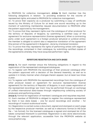to PROPHON for collective management, Article 13. Each member has the following obligations in relation to providing evidence for the volume of represented rights, entrusted to PROPHON for collective management:

13.1. To prove their capacity as a producer by submitting a copy of certificate issued by the Ministry of Culture for at least one sound recording up to the moment of submitting membership request documentation to PROPHON after the pattern approved by the management;

13.2. To prove that they represent rights over the catalogue of other producer for the territory of Republic of Bulgaria, by submitting a certified copy of the agreement for exclusive representation (license agreement). When a contracting party under such agreement is a foreign producer (physical or juridical entity), the member is obliged to submit also a respective translation of the agreement (the extract of the agreement) in Bulgarian , done by chartered translator;

13.3. To prove that they represents the rights of performing artists with regard to the recordings, comprised in their catalogue, by submitting certified copies of the agreements whereby they have acquired performers' rights.

# REPERTOIRE REGISTRATION AND DATA BASES

Article 14. For each member ensue the following obligations in regard to the registration of the represented catalogue/catalogues:

14.1. To register with PROPHON the recordings of their producer catalogue after the pattern approved with a decision of the General Assembly, as well as to update it in timely manner when changes therein appear, but at least two times a year;

14.2. To register with PROPHON the represented recordings from the catalogue of other producer based on agreement for exclusive representation (license agreement) for the territory of Republic of Bulgaria. In such cases registration of the represented recordings 'per track' may be performed through an exchange of unified international data-bases through neighbouring collecting society of producers and performing artists.

Article 15. Format for registration of members' catalogues and requisites required: 15.1. Each member of PROPHON is obliged to register the catalogue represented by them in two data bases – one for sound recordings and another – for recordings of musical audiovisual works;

15.2. Registration is carried outas a document, signed and stamped on each page by the respective producer-member, as well as in electronic format (in MS Excel file – \*.xls format). For the licensed catalogues a signed and stamped list of the labels comprised therewith is submitted. Registration is also done electronically through the relevant application, accessible from the PROPHON website at www.prophon.org;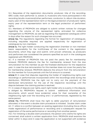15.3. Requisites of the registration documents: producer; title of the recording; ISRC-code; main performer /s, soloist /s; musicians who have participated in the recording (studio musicians)/other performers, conductor /s; album title duration; expiry year of the representation term or the legal protection of producers' rights; expiry year of the representation term or the legal protection of performers' rights;

15.4. Members of PROPHON are obliged to submit written notices for changes regarding the volume of the represented rights, entrusted for collective management to PROPHON, as well as regarding the registered catalogues within 14 days after the reason for such changes has occurred.

Article 15a. The regulations regarding the format for registration of catalogues, including requisites required, are applied respectively for registration of catalogues by non-members.

Article 16. The right holder conducting the registration (member or non-member) bears responsibility for the truthfulness of the content in the registration documents, which they sign and submit. Until proven otherwise, as producers and performers are considered the persons specified as such in the catalogues registered with PROPHON.

16.1. If a member of PROPHON has not paid the yearly fee for membership renewal, PROPHON deducts the fee for membership renewal from the due remuneration for this member as per the finalised distribution for the respective year. In case the due remuneration for this member does not cover the yearly fee for membership renewal, PROPHON deducts the amount from the remuneration for this member for future periods until the full amount is covered.

Article 17. In case that disputes regarding the holder of neighbouring rights over recordings or performances incorporated within the recordings arise during the distribution, PROPHON has the right not to carry out the payment of the distributed remuneration for the use of the respective recordings until the dispute between the claiming parties is resolved.

17.1. In cases of dispute over rights, each right holder who is a party in this dispute, is obliged by PROPHON's request to submit additional information and documents, which would have evidential value for their ownership of the neighbouring right over the recording and / or performances, registered by the same person

Article 17a. PROPHON shall have the right to defer payment of remuneration allocated, in the event a double claim procedure is initiated. Double claim under Art. 17. refers to a conflict between an existing registration (including the ex officio made registration) of performance or recording and a subsequent request for registration of the same performance or recording from another person.

17a.1. For initiating a double claim procedure, the person who claims his rights are concerned, shall submit a written application form. PROPHON shall examine the latter within 14 days and in case the application is not supported with evidence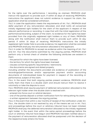for the rights over the performance / recording as claimed, PROPHON shall instruct the applicant to provide such. If within 30 days of receiving PROPHON's instructions the applicant does not submit evidence to support his claim, the application shall be considered withdrawn.

17a.2. In case the application meets the requirements of Art. 17a.1., PROPHON shall defer payment of any remuneration allocated, and shall notify all concerned initially registered right holders for the claim of the applicant in respect of the relevant performance or recording. In case that with the initial registration of the performance/recording, subject of the claim, no evidence for the rights has been provided from the originally registered right holders or any of them, PROPHON along with the notification shall instruct them to provide such within 30 day period. If within 30 days of receiving PROPHON's instructions the initially registered right holder fails to provide evidence, his registration shall be canceled and PROPHON shall pay the remuneration allocated to the applicant.

17a.3. In order for PROPHON to accept as evidence within the meaning of Art. 17a.1 and Art. 17a.2 the documents submitted by the arguing parties, PROPHON shall perform only a formal check of whether the following attributes are existent in them:

- the period for which the rights have been licensed;
- the territory for which the rights have been licensed;
- clauses containing specific requirements / restrictions;
- the documents are signed and dated properly,

including whether the documents provided are evidence of publication of the recordings/performances and/or appropriate payment and/or accounting documents of individualized basis for payment in respect of the recording or performance, subject of the claim.

17a.4. In the event that both arguing parties present evidence, PROPHON shall notify them that there is a double claim and should instruct them to resolve it voluntarily or take the dispute to court.

17a.5. PROPHON shall resume payment of deferred remuneration allocated to the relevant right holder when the double claim is resolved with:

- entered into force court or arbitral decision;

- one of the parties deposit a written notification form for relinquishing his claim;

- a written agreement between the arguing parties;

17a.6. In the event that within 6 /six/ months of receipt of the notification under Art. 17a.4., the double claim is not resolved by any of the means set out in Art. 17a.5, and proceedings before the court or arbitrary tribunal have not been initiated, PROPHON shall pay the deferred remuneration allocated to the initially registered right holder. In the event that within the same period proceedings before the court or arbitrary tribunal have begun and PROPHON has been notified about it, the payment of remuneration allocated shall be postponed until the decision of the respective body enters into force.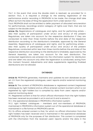17a.7. In the event that once the double claim is resolved, as provided for in section 17a.5, it is required a change to the existing registration of the performance and/or recording in PROPHON to be made, the change shall take effect as from the date of filing the application form under section 17a.1.

17a.8. PROPHON shall not be entitled to defer payment of allocated remuneration for performances, recordings and/or category of rights over them, that are not subject to the double claim.

Article 17b. Registrations of catalogues and rights, and for performing artists – also their quality of participation under art.26.1 and art.26.2 of the present Regulatives, are taken into account for the respective distribution if they are conducted no later than three months before the end date of the respective distribution according to the distribution's timetable, approved by the General Assembly. Registrations of catalogues and rights, and for performing artists – also their quality of participation under art.26.1 and art.26.2 of the present Regulatives, conducted within less than three months before the end date of the respective distribution according to the distribution's timetable, approved by the General Assembly, are taken into account for the next distribution. The conducted registrations are entered into the information system for distribution and are taken into account only after the registration is conducted, acting from this moment forward. Adjustments and data supplements regarding finalized distributions are not allowed.

# **DATABASES**

Article 18. PROPHON generates, maintains and updates its own database as per art. 2.9. from the registered catalogues, users' reports and/or external monitoring data.

Article 19. The content of PROPHON's databases is: registered content (registered catalogues by right holders) and ex officio entered content (content which is not registered by right holders but is compiled by data from users' reports and/or external monitoring data)

19.1. Registered content is that for which official information from the right holders has been received as provided in art.14 and art.15 and is stored in:

19.1.1. the operational database in PROPHON's information system;

19.1.2. right holders' catalogues – members and non-members of PROPHON, maintained in PROPHON's information system out of the operational database or maintained in a file format on PROPHON's server.

19.2. Ex officio entered content is that, for which no official information from the right holders has been received and is maintained in the operational database of PROPHON only for the purposes of fair distribution. This content is completed with the information from the received users' reports and/or the data in the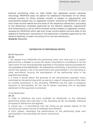external monitoring, when no right holder has registered certain reported recordings. PROPHON does not search for additional information for ex officio entered content. Ex officio entered content is subject to adjustments and amendments based only on registered content, received by PROPHON no later than three months before the end date of the respective distribution, according to the distribution timetable approved by the General Assembly. Adjustments and amendments in the ex officio entered content based on registered content, received by PROPHON within less than three months before the end date of the respective distribution, according to the distribution timetable approved by the General Assembly, is taken into account for the next distribution. Article 20. Repealed.

# DISTRIBUTION TO PERFORMING ARTISTS

Art. 21. Repealed.

# Art. 22

1. On request from PROPHON the performing artist who took part in a certain performance is obliged to prove the reason whyhe/she is considered to be the right owner for the recordings/titles specified in the playlist reports processed for the purposes of the distribution, for instance by submitting: a recording contract he/she has signed; a list of the performers who participated in the recording or other documents, proving the participation of the performing artist in the specified recordings.

2. If there is doubt about the grounds of the remuneration payment claim, submitted by the performing artist, as well as in case of impugnation of the claim by another participant in the recording, PROPHON has the right to postpone payment of remuneration for the use of certain recording until an equitable settlement of the argument is achieved.

# Fund Distribution

# Art. 23

In order to distribute the sums available for distribution to the individual performing artists who took part in the recording as fair as possible, following principles of distribution are applied:

A. Actual use – in accordance with the timing as per playlist reports of the recording, per certain source of collected remuneration;

B. Point system, rewarding the performance of the performing artist who participated in the recording with one or more points.

# Art. 24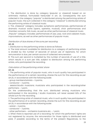1. The distribution is done by category (popular or classical) based on an arithmetic method, formulated hereunder in art. 25. Consequently the sum collected in the category "popular" is distributed among the performing artists of popular music; the sum collected in the category "classical" is distributed among the performing artists of classical music.

2. The "Classical" category includes: symphonic performances, performances of dramatic musical works (opera, operetta, musical), choir performances and chamber concerts, folk music, as well as other performances of classical music.

"Popular" category includes: performances of jazz, pop, rock and cabaret music, improvisations, as well as other performances of popular music.

# Distribution of due shares of the sums per recording

# Art. 25

1. Distribution to the performing artists is done as follows:

A. The total amount available for distribution to a category of performing artists is divided by the number of seconds of actual use of repertoire, for which remuneration is due, per certain source of collected remuneration.

B. This sum per second is multiplied by the number of seconds of use of a title, which results in a sum per title, subject to distribution among the performing artists, who participated the recording.

# Calculation of the performing artists' share

# Art. 26

1. The performing artist of popular music, who in such quality has participated in the performance of a certain recording, shares the sum for this recording as per art.25, in accordance with the following scale:

• group members/soloists – 5 points;

 $\cdot$  conductor – 3 points;

• session/studio musicians; musicians who participated in the recording/other performers – 1 point,

On the understanding that the sum, distributed among musicians who participated in the recording / studio musicians, will never exceed 50% of the whole sum for the recording.

2. The performing artist of classical music, who in such quality has participated in the performance of a certain recording, shares the sum for this recording as per art.25, in accordance with the following scale:

# • soloist – 5 points;

 $\cdot$  conductor – 3 points;

• other performers – orchestra musicians etc. – 1 point.

3. When there is reported use of a recording, for which the performers' rights are not registered by anyone, the remuneration for those rights is distributed and paid, if possible according to the terms of the present Regulatives, to the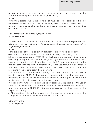performer indicated as such in the usual way in the users reports or in the external monitoring data (the so called "main artist").

### Art. 27

Performing artists who in their quality of musicians who participated in the recording (studio musicians) have played/sung several parts for the realization of a certain recording, can be counted three times at most for receiving a point as described in art. 26.

Non-distributable and/or non-payable sums Art. 28 – Repealed.

Distribution of funds collected for the benefit of foreign performing artists and distribution of sums collected via foreign neighboring societies for the benefit of Bulgarian right holders

# Art. 29

1. The provisions of these Distribution Regulatives are fully applicable to the distribution of funds collected for the benefit of foreign performing artists.

2. Remuneration received by PROPHON on the basis of a a contract with a foreign collecting society for the benefit of Bulgarian right holders for the use of their repertoire abroad, are distributed based on the information received from the relevant collecting society and proportionally to the use of music, in accordance with the distribution rules applied by the foreign organization and with the provisions in this regard, set in the agreement.

3. Exceptions from the specified in paragraph 1 and paragraph 2 are possible only in case that PROPHON has signed a contract with a neighboring society, according to which the remuneration collected by both organizations will be paid to local right holders as a mutual compensation.

In that case the funds will be assigned as proportionally as possible to the use of music in the respective country to right holders – performing artists in Bulgaria, who have entrusted PROPHON with the management of their rights in the respective country.

4. The specified in this article can never result in payment of remuneration to the right holder more than once for the same use of music.

Other provisions Art. 30. Repealed.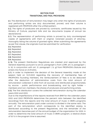# SECTION FOUR TRANSITIONAL AND FINAL PROVISIONS

§ 1. The distribution of remuneration may begin only when the rights of producers and performing artists are duly documented, proved, and their volume is registered with PROPHON after the unified pattern.

§ 2. The rights of producers are proved by contracts, certificates issued by the Ministry of Culture, payment bills and tax documents (copies of annual tax declarations).

§ 3. The representation of performing artists is proved by duly countersigned copies of agreements with them or original, notarized powers of attorney, thoroughly listing the volume of granted rights. When submitting the agreements as per first clause, the originals must be submitted for verification.

§ 4. Repealed.

§ 5. Repealed.

§ 6. Repealed.

§ 7. Repealed.

§ 8. Repealed.

§ 9. Repealed.

§ 10. The present Distribution Regulatives are created and approved by the General Assembly pursuant to art.40, paragraph 6 from LCRR, art. 8, paragraph 1, b. b), in conjunction with art. 21, paragraph 1, b. g) from PROPHON's Statute and enters into force on 21.09.2004.

§ 11. In order to implement the decision of the General Assembly made at the session held on 13.01.2003 regarding the recovery of membership fees of PROPHON's founding members, the reimbursement of fees is to be deducted after the deduction of administrative costs from the total amount of remuneration collected in 2002 from all sources and distributed proportionately by source - public performance and broadcasting, and by right holder – members and non-members, the shares of producers and performing artists.

§ 12. The first distribution covers the collected remuneration during the calendar years 2002 and 2003.

Due to the imperfections of the reports received from BNR for the calendar years 2002 and 2003 PROPHON determines the percent ratio between the identified recordings from the reports and the total amount of music in BNR's programs annually. The remuneration paid under contract is divided in the same ratio. The part of the remuneration which corresponds to the identified airplay is distributed according to the present Regulatives, and the remainder of the remuneration becomes part of the annual budget of the organization for 2005. In order to determine the total amount of music in BNR's program, a relative share of 50 % in the program time is assumed.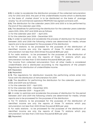§ 13. In order to accelerate the distribution process of the collected remuneration only for 2002 and 2003, the part of the unidentifiable income which is distributed on the basis of "market share" is to be distributed on the basis of "average airplay" by all commercial operators PROPHON has signed contracts with.

§ 14. The distribution for the calendar years 2004 and 2005 is to be performed by the end of the calendar year 2006.

§ 15. The deadlines for performing the distribution for the calendar years calendar years 2005, 2006, 2007 and 2008 are as follows:

А. For the calendar year 2007 – April 2010;

B. For the calendar year 2008 – December 2010.

§ 16. In order to optimize and accelerate the process of distribution for the period between 2005 and 2008 the following criteria are determined for media, whose reports are to be processed for the purposes of the distribution:

А. For TV stations: to be processed for the purposes of the distribution of identified income are only the reports of those TV stations which pay remuneration not less than 3000 (three thousand) BGN per year.

B. For radio stations : to be processed for the purposes of the distribution of identified income are only the reports of those TV stations which pay remuneration not less than 12 000 (twelve thousand) BGN per year.

The income from collected remuneration from all other media is considered unidentifiable and is distributed according to the regulations of the present Regulatives for distribution of unidentifiable income.

§ 17. Repealed.

§ 18. Repealed.

§ 19. The regulations for distribution towards the performing artists enter into force with the distribution of remuneration for 2009.

§ 20. The deadlines for performing the distribution for the calendar years 2007, 2008, and 2009 are as follows::

А. For the calendar 2007 – April 2010;

B. For the calendar 2008 – December 2010;

C. For the calendar 2009 – August 2011.

§21. In order to optimize and accelerate the process of distribution for the period between 2007 and 2009 the following criteria are determined for media, whose reports are to be processed for the purposes of the distribution:

А. For TV stations: to be processed for the purposes of the distribution of identified income are only the reports of those TV stations which pay remuneration not less than 3000 (three thousand) BGN per year.

B. For radio stations : to be processed for the purposes of the distribution of identified income are only the reports of those TV stations which pay remuneration not less than 2 000 (two thousand) BGN per year. §22. Repealed.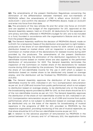§23. The amendments of the present Distribution Regulatives concerning the elimination of the differentiation between members and non-members of PROPHON reflect the amendments of LCRR in effect since 25.03.2011 / SG 25/25.03.2011 / and confirm the decision of PROPHON's Board, made on 23.03.2011 and enter into force from that date.

§24. The provisions of the new articles 11b and 11b.1 enter into force on 01.01.2011 and are applied to the budget of the organization for 2011, approved at the General Assembly session, held on 27.04.2011. All deductions for the expenses on anti-piracy activities, reflected in PROPHON's budget for 2011, are to be included in a fund, founded in accordance with the organisation's Statute and art. 11b.1. from the present Regulatives.

§25. The General Assembly reaffirms the decision of PROPHON's Board, made on 14.09.2011, for a temporary freeze of the distribution and payment to right holders– producers of the share of non-identifiable income for 2009, which is subject to distribution based on market share, until an inspection is carried out by the Commision on market share of the declarations for realized income during 2009 provided by the producers. The amendments of the present Distribution Regulatives concerning the elimination of the distribution regulations for nonidentifiable income based on market share are also applied to the performed distribution of remuneration for 2009. The General Assembly terminates the inspection of the Commision on market share of the declarations for realized income during 2009 provided by the producers. The General Assembly approves the share of non-identifiable income for the use in 2009 which is subject to distribution based on market share to be distributed only based on average airplay, and the distribution will be finalized by PROPHON's administration by 31.01.2012.

§26. The General Assembly approves the distribution of the share of nonidentifiable income for 2010, indicated in art. 9.2.3. (compensation remuneration as per art. 26 of LCRR and income from public performance), which is not subject to distribution based on average airplay, to be distributed only on the basis of the broadcasting reports provided by BNR for 2010, as that share should be 30 % of the non-identifiable income as per art. 9.2.3. The General Assembly approves the distribution of the share of non-identifiable income for 2011, indicated in art. 9.2.3. (compensation remuneration as per art. 26 of LCRR and income from public performance), which is not subject to distribution based on average airplay, to be distributed only on the basis of the reports for broadcasting of musical repertoire in the programs of BNR for 2011, provided to PROPHON by the respective organization, providing monitoring of the use of musical repertoire, as that share should be 30 % of the non-identifiable income as per art. 9.2.3.

§27. In relation to the advance payment of remuneration by PROPHON in the period between 14<sup>th</sup> of January and 14<sup>th</sup> of February 2012, the application forms